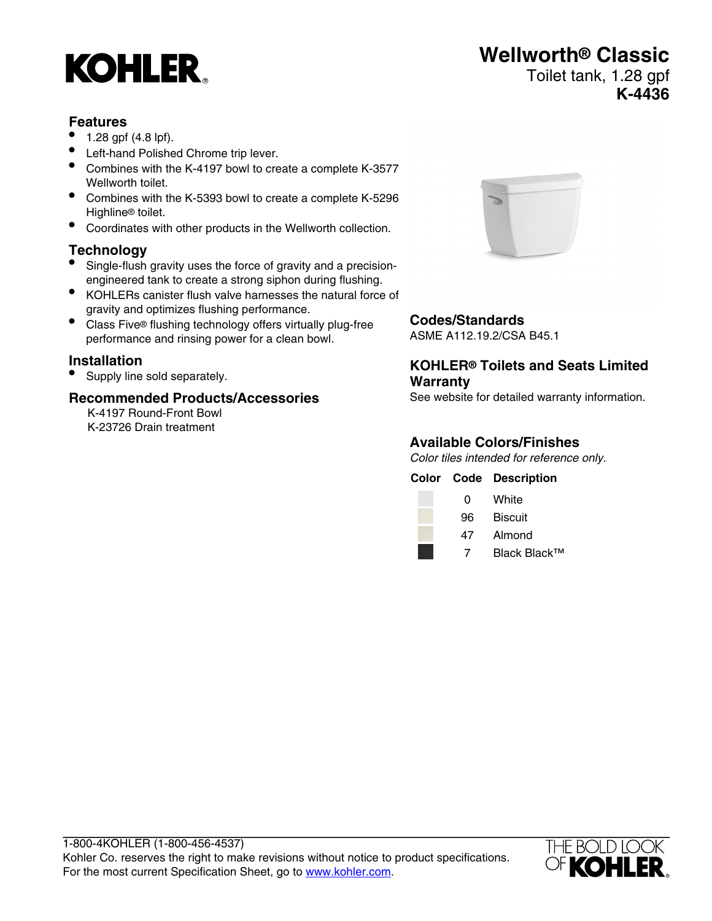# **KOHLER**

## **Wellworth® Classic** Toilet tank, 1.28 gpf

### **K-4436**

#### **Features**

- 1.28 gpf (4.8 lpf).
- Left-hand Polished Chrome trip lever.
- Combines with the K-4197 bowl to create a complete K-3577 Wellworth toilet
- Combines with the K-5393 bowl to create a complete K-5296 Highline® toilet.
- Coordinates with other products in the Wellworth collection.

### **Technology**

- Single-flush gravity uses the force of gravity and a precisionengineered tank to create a strong siphon during flushing.
- KOHLERs canister flush valve harnesses the natural force of gravity and optimizes flushing performance.
- Class Five® flushing technology offers virtually plug-free performance and rinsing power for a clean bowl.

#### **Installation**

• Supply line sold separately.

#### **Recommended Products/Accessories**

K-4197 Round-Front Bowl K-23726 Drain treatment



#### **Codes/Standards**

ASME A112.19.2/CSA B45.1

#### **KOHLER® Toilets and Seats Limited Warranty**

See website for detailed warranty information.

#### **Available Colors/Finishes**

Color tiles intended for reference only.

|    | <b>Color Code Description</b> |
|----|-------------------------------|
| 0  | White                         |
| 96 | <b>Biscuit</b>                |
| 47 | Almond                        |

7 Black Black™